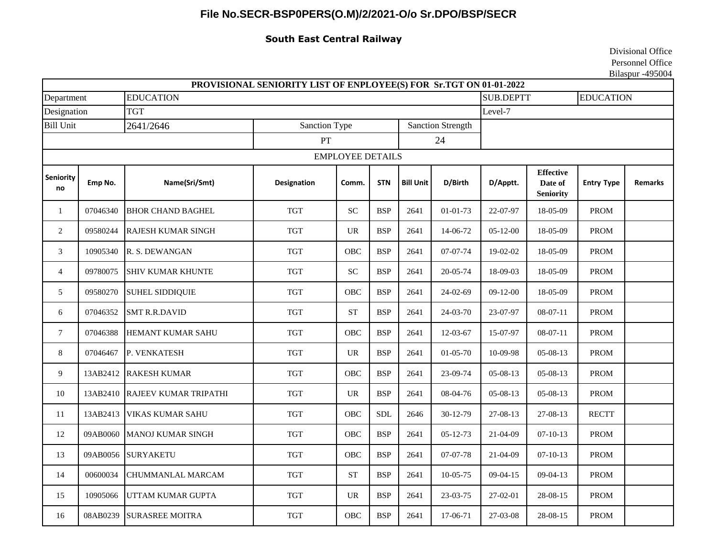## **File No.SECR-BSP0PERS(O.M)/2/2021-O/o Sr.DPO/BSP/SECR**

## **South East Central Railway**

Divisional Office Personnel Office Bilaspur -495004

|                         |          |                              | PROVISIONAL SENIORITY LIST OF ENPLOYEE(S) FOR Sr.TGT ON 01-01-2022 |                            |            |                          |                |                |                                                 |                   |                  |  |
|-------------------------|----------|------------------------------|--------------------------------------------------------------------|----------------------------|------------|--------------------------|----------------|----------------|-------------------------------------------------|-------------------|------------------|--|
| Department              |          | <b>EDUCATION</b>             |                                                                    |                            |            |                          |                |                | <b>SUB.DEPTT</b>                                |                   | <b>EDUCATION</b> |  |
| Designation             |          | <b>TGT</b><br>Level-7        |                                                                    |                            |            |                          |                |                |                                                 |                   |                  |  |
| <b>Bill Unit</b>        |          | Sanction Type<br>2641/2646   |                                                                    |                            |            | <b>Sanction Strength</b> |                |                |                                                 |                   |                  |  |
|                         |          |                              | PT                                                                 |                            |            | 24                       |                |                |                                                 |                   |                  |  |
| <b>EMPLOYEE DETAILS</b> |          |                              |                                                                    |                            |            |                          |                |                |                                                 |                   |                  |  |
| Seniority<br>no         | Emp No.  | Name(Sri/Smt)                | <b>Designation</b>                                                 | Comm.                      | <b>STN</b> | <b>Bill Unit</b>         | D/Birth        | D/Apptt.       | <b>Effective</b><br>Date of<br><b>Seniority</b> | <b>Entry Type</b> | <b>Remarks</b>   |  |
| $\mathbf{1}$            | 07046340 | <b>BHOR CHAND BAGHEL</b>     | <b>TGT</b>                                                         | $\ensuremath{\mathbf{SC}}$ | <b>BSP</b> | 2641                     | $01 - 01 - 73$ | 22-07-97       | 18-05-09                                        | <b>PROM</b>       |                  |  |
| 2                       | 09580244 | <b>RAJESH KUMAR SINGH</b>    | <b>TGT</b>                                                         | <b>UR</b>                  | <b>BSP</b> | 2641                     | 14-06-72       | $05 - 12 - 00$ | 18-05-09                                        | <b>PROM</b>       |                  |  |
| $\mathfrak{Z}$          | 10905340 | R. S. DEWANGAN               | <b>TGT</b>                                                         | OBC                        | <b>BSP</b> | 2641                     | 07-07-74       | 19-02-02       | 18-05-09                                        | <b>PROM</b>       |                  |  |
| $\overline{4}$          | 09780075 | <b>SHIV KUMAR KHUNTE</b>     | <b>TGT</b>                                                         | $\ensuremath{\mathbf{SC}}$ | <b>BSP</b> | 2641                     | 20-05-74       | 18-09-03       | 18-05-09                                        | <b>PROM</b>       |                  |  |
| 5                       | 09580270 | <b>SUHEL SIDDIQUIE</b>       | <b>TGT</b>                                                         | OBC                        | <b>BSP</b> | 2641                     | 24-02-69       | $09 - 12 - 00$ | 18-05-09                                        | <b>PROM</b>       |                  |  |
| 6                       | 07046352 | <b>SMT R.R.DAVID</b>         | <b>TGT</b>                                                         | <b>ST</b>                  | <b>BSP</b> | 2641                     | 24-03-70       | 23-07-97       | $08-07-11$                                      | <b>PROM</b>       |                  |  |
| $\tau$                  | 07046388 | <b>HEMANT KUMAR SAHU</b>     | <b>TGT</b>                                                         | <b>OBC</b>                 | <b>BSP</b> | 2641                     | 12-03-67       | 15-07-97       | $08-07-11$                                      | <b>PROM</b>       |                  |  |
| $8\,$                   | 07046467 | P. VENKATESH                 | <b>TGT</b>                                                         | UR                         | <b>BSP</b> | 2641                     | $01 - 05 - 70$ | 10-09-98       | 05-08-13                                        | <b>PROM</b>       |                  |  |
| 9                       | 13AB2412 | <b>RAKESH KUMAR</b>          | <b>TGT</b>                                                         | OBC                        | <b>BSP</b> | 2641                     | 23-09-74       | 05-08-13       | 05-08-13                                        | <b>PROM</b>       |                  |  |
| $10\,$                  | 13AB2410 | <b>RAJEEV KUMAR TRIPATHI</b> | <b>TGT</b>                                                         | <b>UR</b>                  | <b>BSP</b> | 2641                     | 08-04-76       | $05 - 08 - 13$ | 05-08-13                                        | <b>PROM</b>       |                  |  |
| $11\,$                  | 13AB2413 | <b>VIKAS KUMAR SAHU</b>      | <b>TGT</b>                                                         | OBC                        | <b>SDL</b> | 2646                     | 30-12-79       | 27-08-13       | 27-08-13                                        | <b>RECTT</b>      |                  |  |
| 12                      | 09AB0060 | MANOJ KUMAR SINGH            | <b>TGT</b>                                                         | OBC                        | <b>BSP</b> | 2641                     | $05 - 12 - 73$ | 21-04-09       | $07 - 10 - 13$                                  | <b>PROM</b>       |                  |  |
| 13                      | 09AB0056 | <b>SURYAKETU</b>             | <b>TGT</b>                                                         | OBC                        | <b>BSP</b> | 2641                     | 07-07-78       | 21-04-09       | $07 - 10 - 13$                                  | <b>PROM</b>       |                  |  |
| 14                      | 00600034 | CHUMMANLAL MARCAM            | <b>TGT</b>                                                         | <b>ST</b>                  | <b>BSP</b> | 2641                     | $10 - 05 - 75$ | $09 - 04 - 15$ | $09 - 04 - 13$                                  | <b>PROM</b>       |                  |  |
| 15                      | 10905066 | UTTAM KUMAR GUPTA            | <b>TGT</b>                                                         | <b>UR</b>                  | <b>BSP</b> | 2641                     | 23-03-75       | 27-02-01       | 28-08-15                                        | <b>PROM</b>       |                  |  |
| 16                      | 08AB0239 | <b>SURASREE MOITRA</b>       | <b>TGT</b>                                                         | OBC                        | <b>BSP</b> | 2641                     | 17-06-71       | 27-03-08       | 28-08-15                                        | PROM              |                  |  |